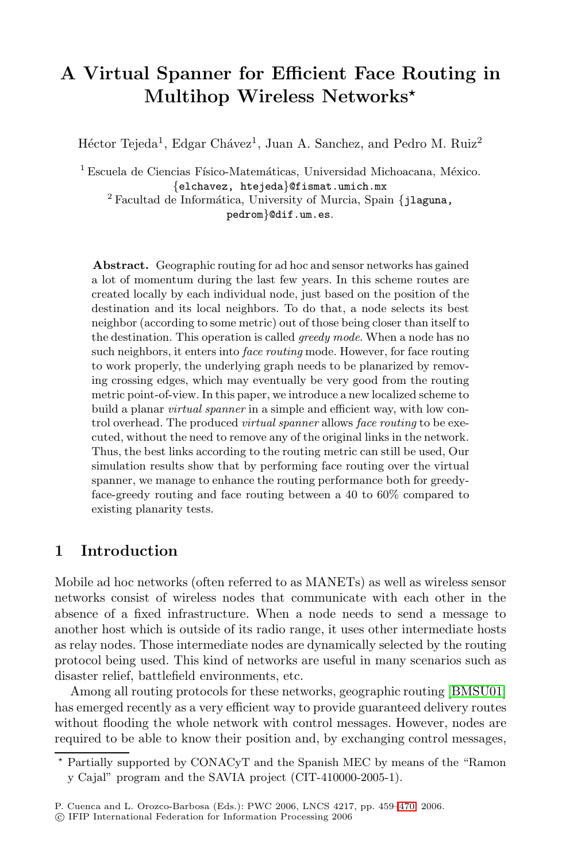# **A Virtual Spanner for Efficient Face Routing in Multihop Wireless Networks***-*

Héctor Tejeda<sup>1</sup>, Edgar Chávez<sup>1</sup>, Juan A. Sanchez, and Pedro M. Ruiz<sup>2</sup>

 $1$  Escuela de Ciencias Físico-Matemáticas, Universidad Michoacana, México. {elchavez, htejeda}@fismat.umich.mx  $2$  Facultad de Informática, University of Murcia, Spain {jlaguna, pedrom}@dif.um.es.

**Abstract.** Geographic routing for ad hoc and sensor networks has gained a lot of momentum during the last few years. In this scheme routes are created locally by each individual node, just based on the position of the destination and its local neighbors. To do that, a node selects its best neighbor (according to some metric) out of those being closer than itself to the destination. This operation is called *greedy mode*. When a node has no such neighbors, it enters into face routing mode. However, for face routing to work properly, the underlying graph needs to be planarized by removing crossing edges, which may eventually be very good from the routing metric point-of-view. In this paper, we introduce a new localized scheme to build a planar *virtual spanner* in a simple and efficient way, with low control overhead. The produced virtual spanner allows face routing to be executed, without the need to remove any of the original links in the network. Thus, the best links according to the routing metric can still be used, Our simulation results show that by performing face routing over the virtual spanner, we manage to enhance the routing performance both for greedyface-greedy routing and face routing between a 40 to 60% compared to existing planarity tests.

# **1 Introduction**

Mobile ad hoc networks (often referred to as MANETs) as well as wireless sensor networks consist of wireless nodes that communicate with each other in the absence of a fixed infrastructure. When a node needs to send a message to another host which is outside of its radio range, it uses other intermediate hosts as relay nodes. Those intermediate nodes are dynamically selected by the routing protocol being used. This kind of networks are useful in many scenarios such as disaster relief, battlefield environments, etc.

Among all routing protocols for these networks, geographic routing [\[BMSU01\]](#page-10-0) has emerged recently as a very efficient way to provide guaranteed delivery routes without flooding the whole network with control messages. However, nodes are required to be able to know their position and, by exchanging control messages,

<sup>-</sup> Partially supported by CONACyT and the Spanish MEC by means of the "Ramon y Cajal" program and the SAVIA project (CIT-410000-2005-1).

P. Cuenca and L. Orozco-Barbosa (Eds.): PWC 2006, LNCS 4217, pp. 459[–470,](#page-10-1) 2006.

<sup>-</sup>c IFIP International Federation for Information Processing 2006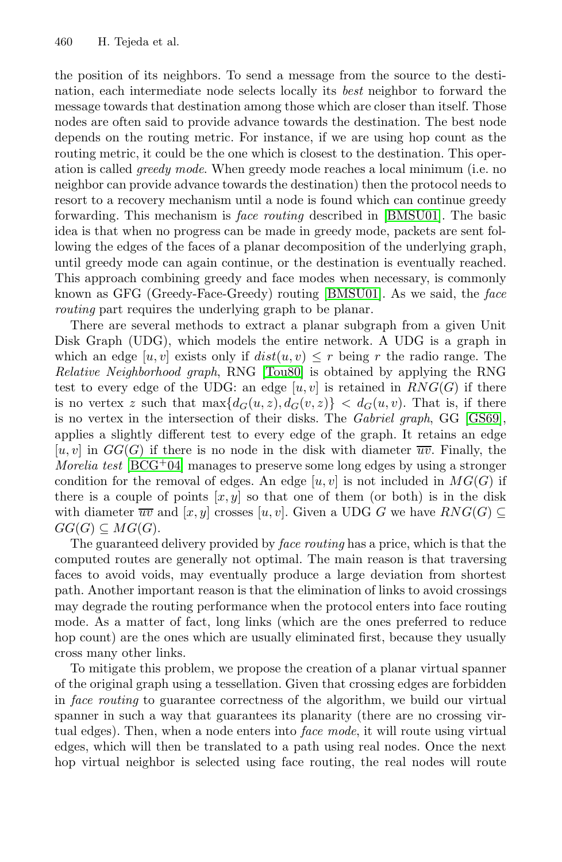the position of its neighbors. To send a message from the source to the destination, each intermediate node selects locally its best neighbor to forward the message towards that destination among those which are closer than itself. Those nodes are often said to provide advance towards the destination. The best node depends on the routing metric. For instance, if we are using hop count as the routing metric, it could be the one which is closest to the destination. This operation is called greedy mode. When greedy mode reaches a local minimum (i.e. no neighbor can provide advance towards the destination) then the protocol needs to resort to a recovery mechanism until a node is found which can continue greedy forwarding. This mechanism is face routing described in [\[BMSU01\]](#page-10-0). The basic idea is that when no progress can be made in greedy mode, packets are sent following the edges of the faces of a planar decomposition of the underlying graph, until greedy mode can again continue, or the destination is eventually reached. This approach combining greedy and face modes when necessary, is commonly known as GFG (Greedy-Face-Greedy) routing [\[BMSU01\]](#page-10-0). As we said, the face routing part requires the underlying graph to be planar.

There are several methods to extract a planar subgraph from a given Unit Disk Graph (UDG), which models the entire network. A UDG is a graph in which an edge  $[u, v]$  exists only if  $dist(u, v) \leq r$  being r the radio range. The Relative Neighborhood graph, RNG [\[Tou80\]](#page-11-0) is obtained by applying the RNG test to every edge of the UDG: an edge  $[u, v]$  is retained in  $RNG(G)$  if there is no vertex z such that  $\max\{d_G(u,z), d_G(v,z)\} < d_G(u,v)$ . That is, if there is no vertex in the intersection of their disks. The Gabriel graph, GG [\[GS69\]](#page-11-1), applies a slightly different test to every edge of the graph. It retains an edge  $[u, v]$  in  $GG(G)$  if there is no node in the disk with diameter  $\overline{uv}$ . Finally, the *Morelia test*  $[BCG+04]$  $[BCG+04]$  manages to preserve some long edges by using a stronger condition for the removal of edges. An edge  $[u, v]$  is not included in  $MG(G)$  if there is a couple of points  $[x, y]$  so that one of them (or both) is in the disk with diameter  $\overline{uv}$  and  $[x, y]$  crosses  $[u, v]$ . Given a UDG G we have  $RNG(G) \subseteq$  $GG(G) \subseteq MG(G).$ 

The guaranteed delivery provided by face routing has a price, which is that the computed routes are generally not optimal. The main reason is that traversing faces to avoid voids, may eventually produce a large deviation from shortest path. Another important reason is that the elimination of links to avoid crossings may degrade the routing performance when the protocol enters into face routing mode. As a matter of fact, long links (which are the ones preferred to reduce hop count) are the ones which are usually eliminated first, because they usually cross many other links.

To mitigate this problem, we propose the creation of a planar virtual spanner of the original graph using a tessellation. Given that crossing edges are forbidden in face routing to guarantee correctness of the algorithm, we build our virtual spanner in such a way that guarantees its planarity (there are no crossing virtual edges). Then, when a node enters into *face mode*, it will route using virtual edges, which will then be translated to a path using real nodes. Once the next hop virtual neighbor is selected using face routing, the real nodes will route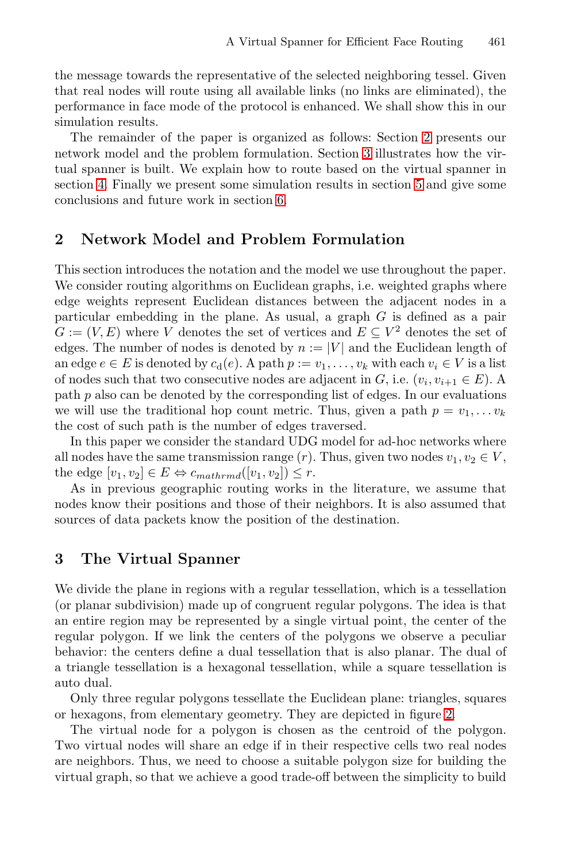the message towards the representative of the selected neighboring tessel. Given that real nodes will route using all available links (no links are eliminated), the performance in face mode of the protocol is enhanced. We shall show this in our simulation results.

The remainder of the paper is organized as follows: Section [2](#page-2-0) presents our network model and the problem formulation. Section [3](#page-2-1) illustrates how the virtual spanner is built. We explain how to route based on the virtual spanner in section [4.](#page-7-0) Finally we present some simulation results in section [5](#page-8-0) and give some conclusions and future work in section [6.](#page-10-3)

#### <span id="page-2-0"></span>**2 Network Model and Problem Formulation**

This section introduces the notation and the model we use throughout the paper. We consider routing algorithms on Euclidean graphs, i.e. weighted graphs where edge weights represent Euclidean distances between the adjacent nodes in a particular embedding in the plane. As usual, a graph G is defined as a pair  $G := (V, E)$  where V denotes the set of vertices and  $E \subseteq V^2$  denotes the set of edges. The number of nodes is denoted by  $n := |V|$  and the Euclidean length of an edge  $e \in E$  is denoted by  $c_d(e)$ . A path  $p := v_1, \ldots, v_k$  with each  $v_i \in V$  is a list of nodes such that two consecutive nodes are adjacent in G, i.e.  $(v_i, v_{i+1} \in E)$ . A path p also can be denoted by the corresponding list of edges. In our evaluations we will use the traditional hop count metric. Thus, given a path  $p = v_1, \ldots v_k$ the cost of such path is the number of edges traversed.

In this paper we consider the standard UDG model for ad-hoc networks where all nodes have the same transmission range (r). Thus, given two nodes  $v_1, v_2 \in V$ , the edge  $[v_1, v_2] \in E \Leftrightarrow c_{mathcal{M}}([v_1, v_2]) \leq r.$ 

As in previous geographic routing works in the literature, we assume that nodes know their positions and those of their neighbors. It is also assumed that sources of data packets know the position of the destination.

# <span id="page-2-1"></span>**3 The Virtual Spanner**

We divide the plane in regions with a regular tessellation, which is a tessellation (or planar subdivision) made up of congruent regular polygons. The idea is that an entire region may be represented by a single virtual point, the center of the regular polygon. If we link the centers of the polygons we observe a peculiar behavior: the centers define a dual tessellation that is also planar. The dual of a triangle tessellation is a hexagonal tessellation, while a square tessellation is auto dual.

Only three regular polygons tessellate the Euclidean plane: triangles, squares or hexagons, from elementary geometry. They are depicted in figure [2.](#page-4-0)

The virtual node for a polygon is chosen as the centroid of the polygon. Two virtual nodes will share an edge if in their respective cells two real nodes are neighbors. Thus, we need to choose a suitable polygon size for building the virtual graph, so that we achieve a good trade-off between the simplicity to build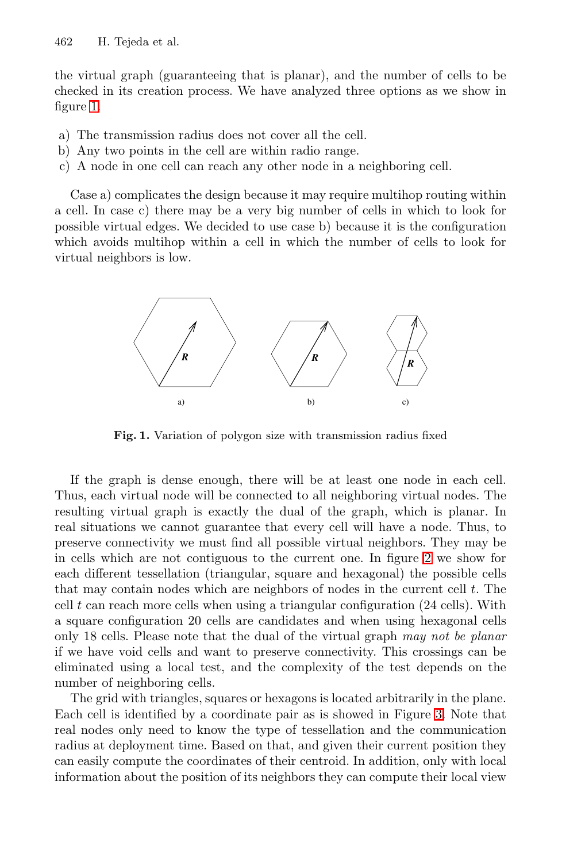the virtual graph (guaranteeing that is planar), and the number of cells to be checked in its creation process. We have analyzed three options as we show in figure [1.](#page-3-0)

- a) The transmission radius does not cover all the cell.
- b) Any two points in the cell are within radio range.
- c) A node in one cell can reach any other node in a neighboring cell.

Case a) complicates the design because it may require multihop routing within a cell. In case c) there may be a very big number of cells in which to look for possible virtual edges. We decided to use case b) because it is the configuration which avoids multihop within a cell in which the number of cells to look for virtual neighbors is low.



<span id="page-3-0"></span>**Fig. 1.** Variation of polygon size with transmission radius fixed

If the graph is dense enough, there will be at least one node in each cell. Thus, each virtual node will be connected to all neighboring virtual nodes. The resulting virtual graph is exactly the dual of the graph, which is planar. In real situations we cannot guarantee that every cell will have a node. Thus, to preserve connectivity we must find all possible virtual neighbors. They may be in cells which are not contiguous to the current one. In figure [2](#page-4-0) we show for each different tessellation (triangular, square and hexagonal) the possible cells that may contain nodes which are neighbors of nodes in the current cell  $t$ . The cell  $t$  can reach more cells when using a triangular configuration (24 cells). With a square configuration 20 cells are candidates and when using hexagonal cells only 18 cells. Please note that the dual of the virtual graph may not be planar if we have void cells and want to preserve connectivity. This crossings can be eliminated using a local test, and the complexity of the test depends on the number of neighboring cells.

The grid with triangles, squares or hexagons is located arbitrarily in the plane. Each cell is identified by a coordinate pair as is showed in Figure [3.](#page-4-1) Note that real nodes only need to know the type of tessellation and the communication radius at deployment time. Based on that, and given their current position they can easily compute the coordinates of their centroid. In addition, only with local information about the position of its neighbors they can compute their local view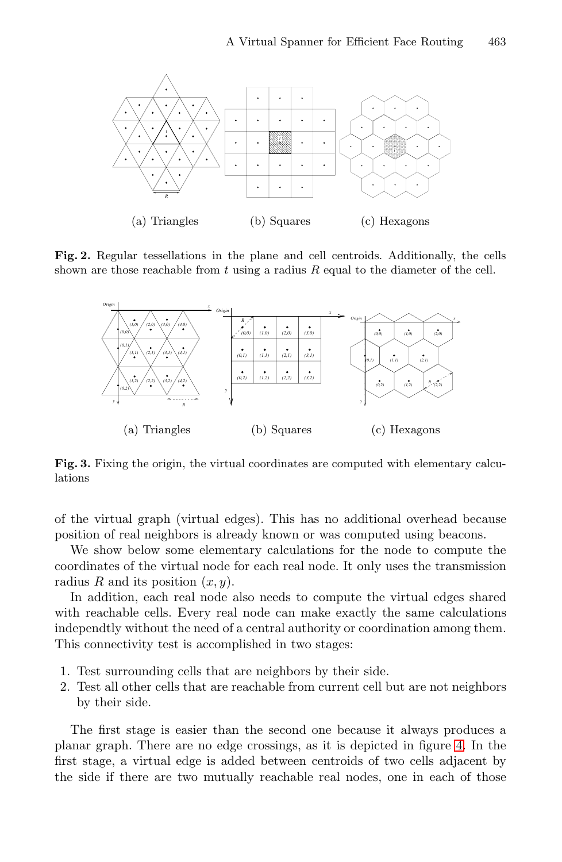

<span id="page-4-0"></span>**Fig. 2.** Regular tessellations in the plane and cell centroids. Additionally, the cells shown are those reachable from  $t$  using a radius  $R$  equal to the diameter of the cell.



<span id="page-4-1"></span>**Fig. 3.** Fixing the origin, the virtual coordinates are computed with elementary calculations

of the virtual graph (virtual edges). This has no additional overhead because position of real neighbors is already known or was computed using beacons.

We show below some elementary calculations for the node to compute the coordinates of the virtual node for each real node. It only uses the transmission radius R and its position  $(x, y)$ .

In addition, each real node also needs to compute the virtual edges shared with reachable cells. Every real node can make exactly the same calculations independtly without the need of a central authority or coordination among them. This connectivity test is accomplished in two stages:

- 1. Test surrounding cells that are neighbors by their side.
- 2. Test all other cells that are reachable from current cell but are not neighbors by their side.

The first stage is easier than the second one because it always produces a planar graph. There are no edge crossings, as it is depicted in figure [4.](#page-5-0) In the first stage, a virtual edge is added between centroids of two cells adjacent by the side if there are two mutually reachable real nodes, one in each of those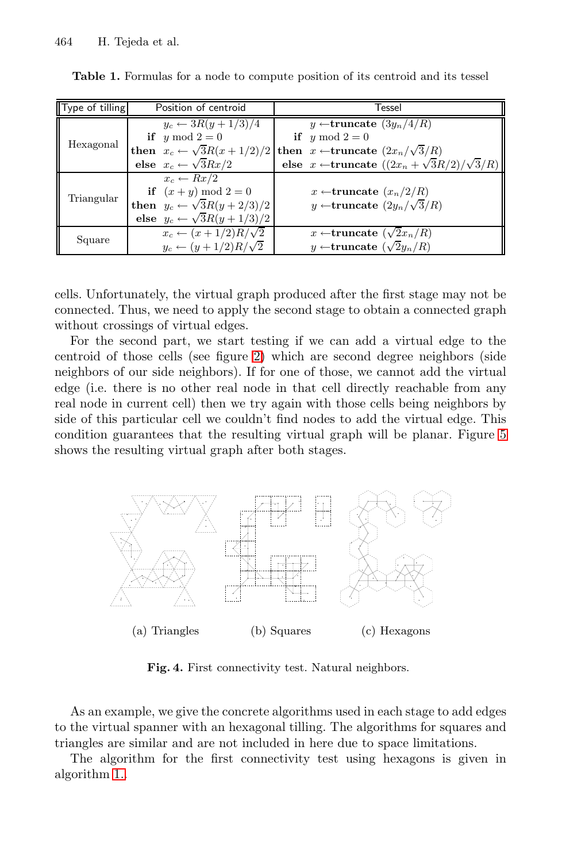| Type of tilling | Position of centroid                     | Tessel                                                           |  |
|-----------------|------------------------------------------|------------------------------------------------------------------|--|
| Hexagonal       | $y_c \leftarrow 3R(y + 1/3)/4$           | $y \leftarrow$ truncate $(3y_n/4/R)$                             |  |
|                 | if $y \mod 2 = 0$                        | if $y \mod 2 = 0$                                                |  |
|                 | then $x_c \leftarrow \sqrt{3}R(x+1/2)/2$ | then $x \leftarrow$ truncate $(2x_n/\sqrt{3/R})$                 |  |
|                 | else $x_c \leftarrow \sqrt{3}Rx/2$       | else $x \leftarrow$ truncate $((2x_n + \sqrt{3}R/2)/\sqrt{3}/R)$ |  |
| Triangular      | $x_c \leftarrow Rx/2$                    |                                                                  |  |
|                 | if $(x + y) \mod 2 = 0$                  | x $\leftarrow$ truncate $(x_n/2/R)$                              |  |
|                 | then $y_c \leftarrow \sqrt{3}R(y+2/3)/2$ | $y \leftarrow$ truncate $(2y_n/\sqrt{3}/R)$                      |  |
|                 | else $y_c \leftarrow \sqrt{3}R(y+1/3)/2$ |                                                                  |  |
| Square          | $x_c \leftarrow (x+1/2)R/\sqrt{2}$       | x $\leftarrow$ truncate $(\sqrt{2x_n/R})$                        |  |
|                 | $y_c \leftarrow (y+1/2)R/\sqrt{2}$       | $y \leftarrow$ truncate $(\sqrt{2}y_n/R)$                        |  |

**Table 1.** Formulas for a node to compute position of its centroid and its tessel

cells. Unfortunately, the virtual graph produced after the first stage may not be connected. Thus, we need to apply the second stage to obtain a connected graph without crossings of virtual edges.

For the second part, we start testing if we can add a virtual edge to the centroid of those cells (see figure [2\)](#page-4-0) which are second degree neighbors (side neighbors of our side neighbors). If for one of those, we cannot add the virtual edge (i.e. there is no other real node in that cell directly reachable from any real node in current cell) then we try again with those cells being neighbors by side of this particular cell we couldn't find nodes to add the virtual edge. This condition guarantees that the resulting virtual graph will be planar. Figure [5](#page-8-1) shows the resulting virtual graph after both stages.



**Fig. 4.** First connectivity test. Natural neighbors.

<span id="page-5-0"></span>As an example, we give the concrete algorithms used in each stage to add edges to the virtual spanner with an hexagonal tilling. The algorithms for squares and triangles are similar and are not included in here due to space limitations.

The algorithm for the first connectivity test using hexagons is given in algorithm [1..](#page-6-0)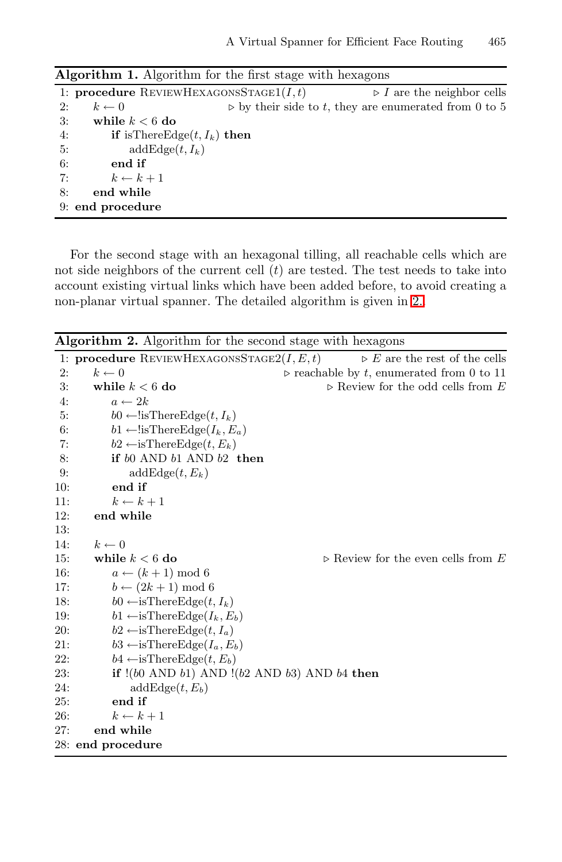| 1: procedure REVIEWHEXAGONSSTAGE1 $(I,t)$   |  | $\triangleright$ I are the neighbor cells                            |  |  |
|---------------------------------------------|--|----------------------------------------------------------------------|--|--|
| 2:<br>$k \leftarrow 0$                      |  | $\triangleright$ by their side to t, they are enumerated from 0 to 5 |  |  |
| 3:<br>while $k < 6$ do                      |  |                                                                      |  |  |
| 4:<br><b>if</b> isThereEdge $(t, I_k)$ then |  |                                                                      |  |  |
| 5:<br>$addEdge(t, I_k)$                     |  |                                                                      |  |  |
| 6:<br>end if                                |  |                                                                      |  |  |
| 7:<br>$k \leftarrow k+1$                    |  |                                                                      |  |  |
| 8:<br>end while                             |  |                                                                      |  |  |
| 9: end procedure                            |  |                                                                      |  |  |
|                                             |  |                                                                      |  |  |

<span id="page-6-0"></span>**Algorithm 1.** Algorithm for the first stage with hexagons

For the second stage with an hexagonal tilling, all reachable cells which are not side neighbors of the current cell  $(t)$  are tested. The test needs to take into account existing virtual links which have been added before, to avoid creating a non-planar virtual spanner. The detailed algorithm is given in [2..](#page-6-1)

**Algorithm 2.** Algorithm for the second stage with hexagons

```
1: procedure REVIEWHEXAGONSSTAGE2(I, E, t)\triangleright E are the rest of the cells
2: k \leftarrow 0\triangleright reachable by t, enumerated from 0 to 11
3: while k < 6 do
                                                      \triangleright Review for the odd cells from E
4: a \leftarrow 2k5: b0 \leftarrow!isThereEdge(t, I_k)6: b1 \leftarrow!isThereEdge(I_k, E_a)
7: b2 \leftarrow isTherefore(t, E_k)8: if b0 AND b1 AND b2 then
9: addEdge(t, E_k)10: end if
11: k \leftarrow k + 112: end while
13:
14: k \leftarrow 015: while k < 6 do
                                                      \triangleright Review for the even cells from E16: a \leftarrow (k+1) \text{ mod } 617: b \leftarrow (2k+1) \text{ mod } 618: b0 \leftarrow \text{isTherefore} E \text{dge}(t, I_k)19: b1 \leftarrow \text{isTherefore} \text{Edge}(I_k, E_b)20: b2 \leftarrow \text{isTherefore} E \deg(t, I_a)21: b3 \leftarrow isTherefore[I_a, E_b]22: b4 \leftarrow isTherefore(1, E_b)23: if !(b0 AND b1) AND !(b2 AND b3) AND b4 then
24: addEdge(t, E_b)25: end if
26: k \leftarrow k + 127: end while
28: end procedure
```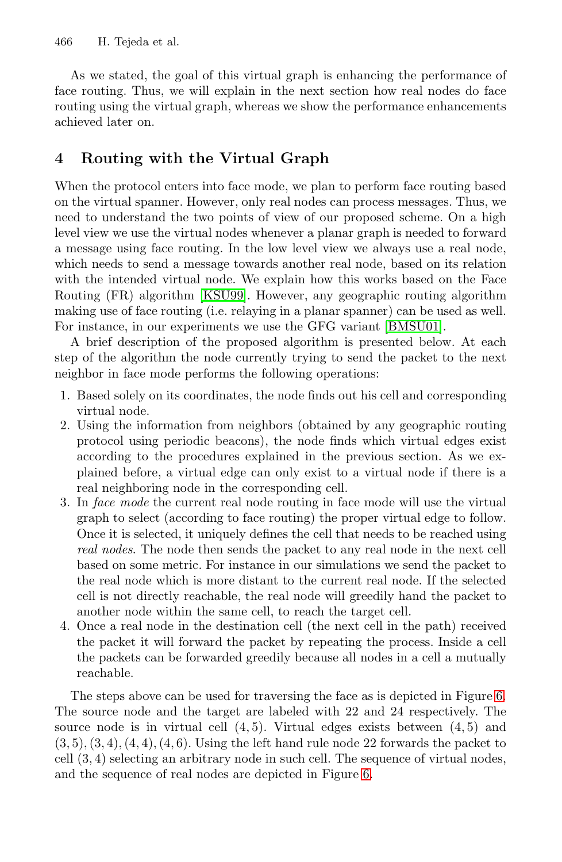As we stated, the goal of this virtual graph is enhancing the performance of face routing. Thus, we will explain in the next section how real nodes do face routing using the virtual graph, whereas we show the performance enhancements achieved later on.

# <span id="page-7-0"></span>**4 Routing with the Virtual Graph**

When the protocol enters into face mode, we plan to perform face routing based on the virtual spanner. However, only real nodes can process messages. Thus, we need to understand the two points of view of our proposed scheme. On a high level view we use the virtual nodes whenever a planar graph is needed to forward a message using face routing. In the low level view we always use a real node, which needs to send a message towards another real node, based on its relation with the intended virtual node. We explain how this works based on the Face Routing (FR) algorithm [\[KSU99\]](#page-11-2). However, any geographic routing algorithm making use of face routing (i.e. relaying in a planar spanner) can be used as well. For instance, in our experiments we use the GFG variant [\[BMSU01\]](#page-10-0).

A brief description of the proposed algorithm is presented below. At each step of the algorithm the node currently trying to send the packet to the next neighbor in face mode performs the following operations:

- 1. Based solely on its coordinates, the node finds out his cell and corresponding virtual node.
- 2. Using the information from neighbors (obtained by any geographic routing protocol using periodic beacons), the node finds which virtual edges exist according to the procedures explained in the previous section. As we explained before, a virtual edge can only exist to a virtual node if there is a real neighboring node in the corresponding cell.
- 3. In face mode the current real node routing in face mode will use the virtual graph to select (according to face routing) the proper virtual edge to follow. Once it is selected, it uniquely defines the cell that needs to be reached using real nodes. The node then sends the packet to any real node in the next cell based on some metric. For instance in our simulations we send the packet to the real node which is more distant to the current real node. If the selected cell is not directly reachable, the real node will greedily hand the packet to another node within the same cell, to reach the target cell.
- 4. Once a real node in the destination cell (the next cell in the path) received the packet it will forward the packet by repeating the process. Inside a cell the packets can be forwarded greedily because all nodes in a cell a mutually reachable.

The steps above can be used for traversing the face as is depicted in Figure [6.](#page-8-2) The source node and the target are labeled with 22 and 24 respectively. The source node is in virtual cell  $(4, 5)$ . Virtual edges exists between  $(4, 5)$  and  $(3, 5), (3, 4), (4, 4), (4, 6)$ . Using the left hand rule node 22 forwards the packet to cell (3, 4) selecting an arbitrary node in such cell. The sequence of virtual nodes, and the sequence of real nodes are depicted in Figure [6.](#page-8-2)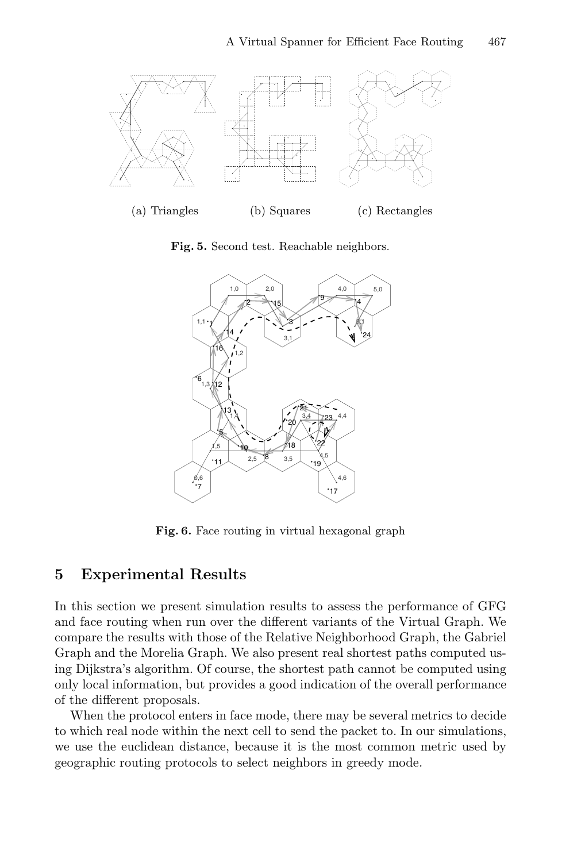

<span id="page-8-1"></span>**Fig. 5.** Second test. Reachable neighbors.



**Fig. 6.** Face routing in virtual hexagonal graph

## <span id="page-8-2"></span><span id="page-8-0"></span>**5 Experimental Results**

In this section we present simulation results to assess the performance of GFG and face routing when run over the different variants of the Virtual Graph. We compare the results with those of the Relative Neighborhood Graph, the Gabriel Graph and the Morelia Graph. We also present real shortest paths computed using Dijkstra's algorithm. Of course, the shortest path cannot be computed using only local information, but provides a good indication of the overall performance of the different proposals.

When the protocol enters in face mode, there may be several metrics to decide to which real node within the next cell to send the packet to. In our simulations, we use the euclidean distance, because it is the most common metric used by geographic routing protocols to select neighbors in greedy mode.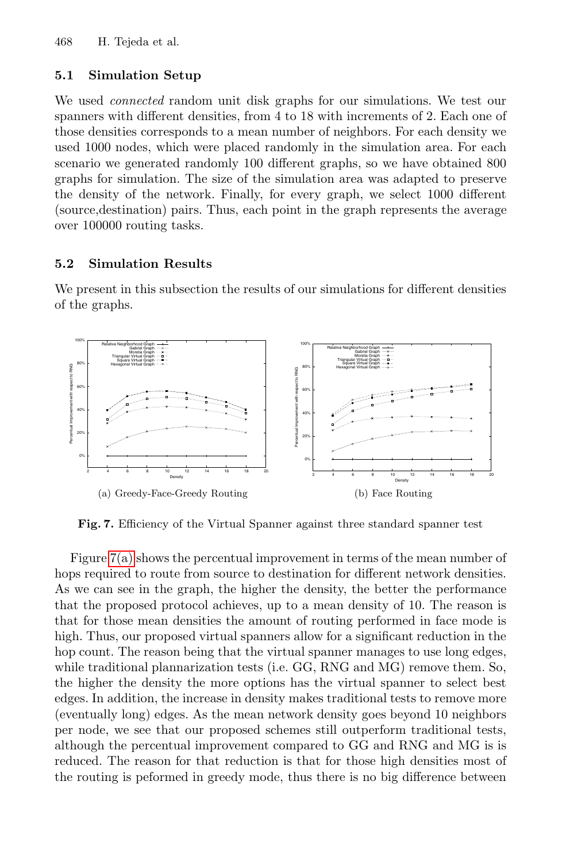#### **5.1 Simulation Setup**

We used *connected* random unit disk graphs for our simulations. We test our spanners with different densities, from 4 to 18 with increments of 2. Each one of those densities corresponds to a mean number of neighbors. For each density we used 1000 nodes, which were placed randomly in the simulation area. For each scenario we generated randomly 100 different graphs, so we have obtained 800 graphs for simulation. The size of the simulation area was adapted to preserve the density of the network. Finally, for every graph, we select 1000 different (source,destination) pairs. Thus, each point in the graph represents the average over 100000 routing tasks.

#### **5.2 Simulation Results**

We present in this subsection the results of our simulations for different densities of the graphs.



<span id="page-9-1"></span>**Fig. 7.** Efficiency of the Virtual Spanner against three standard spanner test

<span id="page-9-0"></span>Figure [7\(a\)](#page-9-0) shows the percentual improvement in terms of the mean number of hops required to route from source to destination for different network densities. As we can see in the graph, the higher the density, the better the performance that the proposed protocol achieves, up to a mean density of 10. The reason is that for those mean densities the amount of routing performed in face mode is high. Thus, our proposed virtual spanners allow for a significant reduction in the hop count. The reason being that the virtual spanner manages to use long edges, while traditional plannarization tests (i.e. GG, RNG and MG) remove them. So, the higher the density the more options has the virtual spanner to select best edges. In addition, the increase in density makes traditional tests to remove more (eventually long) edges. As the mean network density goes beyond 10 neighbors per node, we see that our proposed schemes still outperform traditional tests, although the percentual improvement compared to GG and RNG and MG is is reduced. The reason for that reduction is that for those high densities most of the routing is peformed in greedy mode, thus there is no big difference between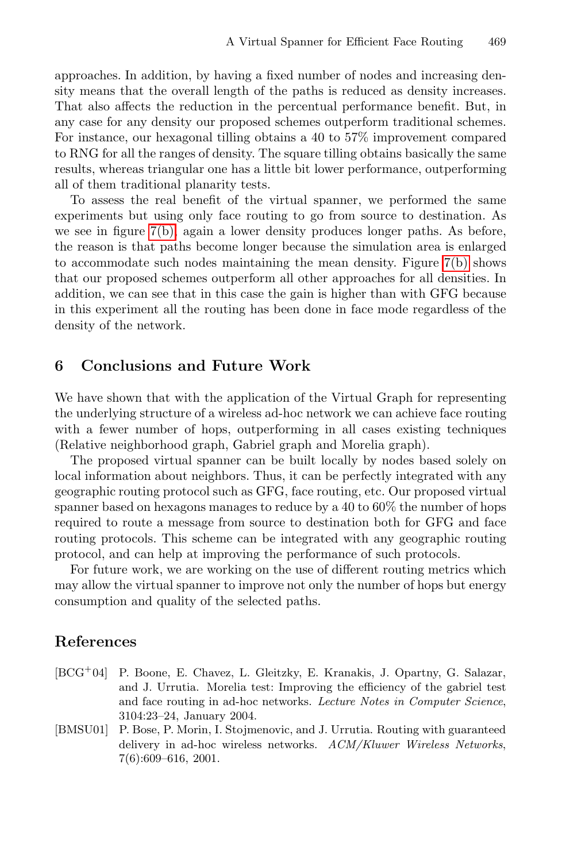approaches. In addition, by having a fixed number of nodes and increasing density means that the overall length of the paths is reduced as density increases. That also affects the reduction in the percentual performance benefit. But, in any case for any density our proposed schemes outperform traditional schemes. For instance, our hexagonal tilling obtains a 40 to 57% improvement compared to RNG for all the ranges of density. The square tilling obtains basically the same results, whereas triangular one has a little bit lower performance, outperforming all of them traditional planarity tests.

To assess the real benefit of the virtual spanner, we performed the same experiments but using only face routing to go from source to destination. As we see in figure [7\(b\),](#page-9-1) again a lower density produces longer paths. As before, the reason is that paths become longer because the simulation area is enlarged to accommodate such nodes maintaining the mean density. Figure [7\(b\)](#page-9-1) shows that our proposed schemes outperform all other approaches for all densities. In addition, we can see that in this case the gain is higher than with GFG because in this experiment all the routing has been done in face mode regardless of the density of the network.

## <span id="page-10-3"></span>**6 Conclusions and Future Work**

We have shown that with the application of the Virtual Graph for representing the underlying structure of a wireless ad-hoc network we can achieve face routing with a fewer number of hops, outperforming in all cases existing techniques (Relative neighborhood graph, Gabriel graph and Morelia graph).

The proposed virtual spanner can be built locally by nodes based solely on local information about neighbors. Thus, it can be perfectly integrated with any geographic routing protocol such as GFG, face routing, etc. Our proposed virtual spanner based on hexagons manages to reduce by a 40 to 60% the number of hops required to route a message from source to destination both for GFG and face routing protocols. This scheme can be integrated with any geographic routing protocol, and can help at improving the performance of such protocols.

For future work, we are working on the use of different routing metrics which may allow the virtual spanner to improve not only the number of hops but energy consumption and quality of the selected paths.

#### **References**

- <span id="page-10-2"></span><span id="page-10-1"></span>[BCG<sup>+</sup>04] P. Boone, E. Chavez, L. Gleitzky, E. Kranakis, J. Opartny, G. Salazar, and J. Urrutia. Morelia test: Improving the efficiency of the gabriel test and face routing in ad-hoc networks. Lecture Notes in Computer Science, 3104:23–24, January 2004.
- <span id="page-10-0"></span>[BMSU01] P. Bose, P. Morin, I. Stojmenovic, and J. Urrutia. Routing with guaranteed delivery in ad-hoc wireless networks. ACM/Kluwer Wireless Networks, 7(6):609–616, 2001.